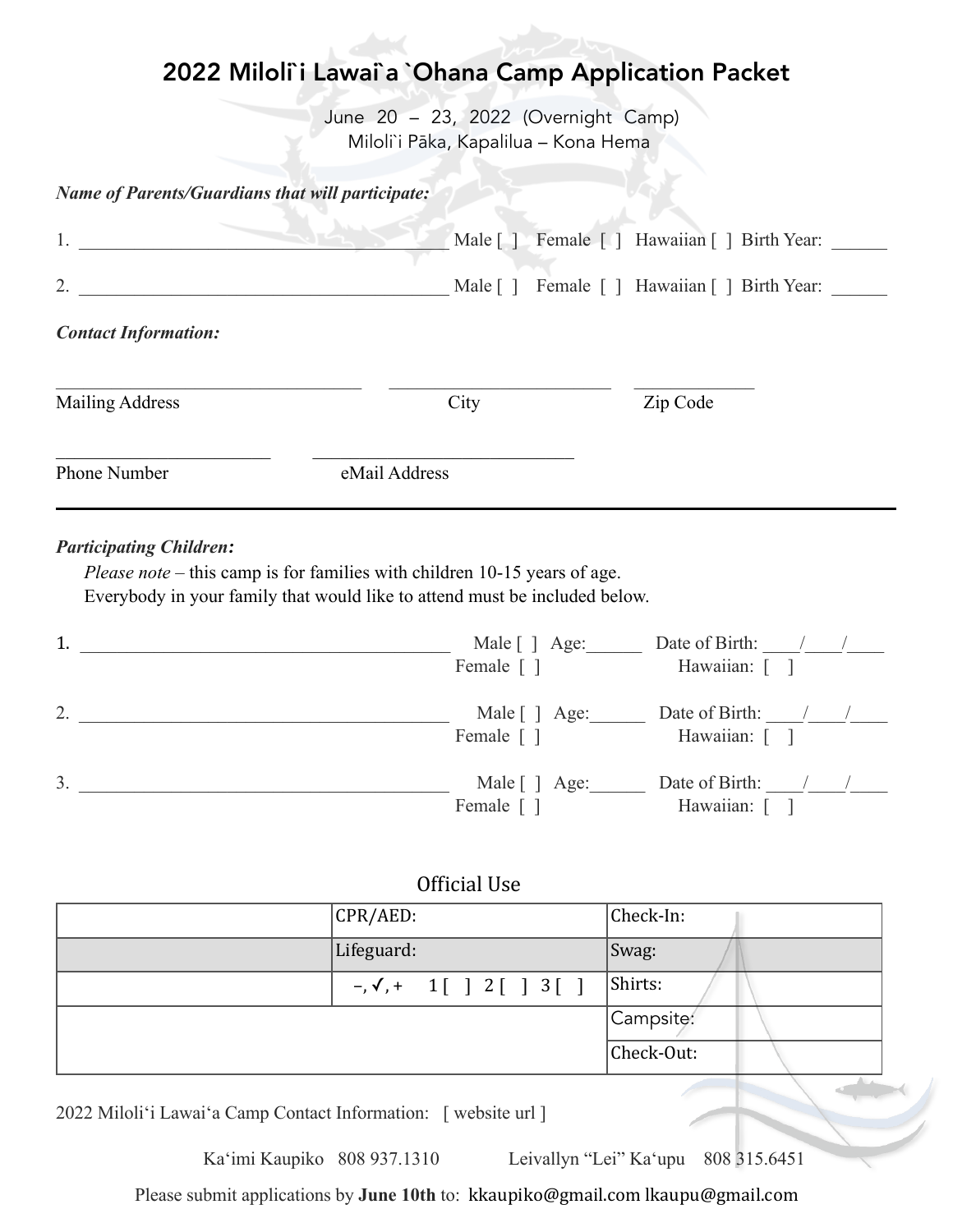# 2022 Miloli`i Lawai`a `Ohana Camp Application Packet

June 20 - 23, 2022 (Overnight Camp) Miloli`i Pāka, Kapalilua - Kona Hema

*Name of Parents/Guardians that will participate:*

| 1.                          |                 | Male [ ] Female [ ] Hawaiian [ ] Birth Year: ____ |
|-----------------------------|-----------------|---------------------------------------------------|
| 2.                          | Male $\lceil$ 1 | Female [ ] Hawaiian [ ] Birth Year:               |
| <b>Contact Information:</b> |                 |                                                   |
| <b>Mailing Address</b>      | City            | Zip Code                                          |
| Phone Number                | eMail Address   |                                                   |

#### *Participating Children:*

*Please note* – this camp is for families with children 10-15 years of age. Everybody in your family that would like to attend must be included below.

| 1.             | Male [ ] Age:<br>Female [ ] | Date of Birth:<br>Hawaiian: [ ] |
|----------------|-----------------------------|---------------------------------|
| 2.             | Male [ ] Age:<br>Female [ ] | Date of Birth:<br>Hawaiian: [ ] |
| 3 <sub>1</sub> | Male [ ] Age:<br>Female [   | Date of Birth:<br>Hawaiian:     |

### Official Use

| CPR/ AED:                         | Check-In:  |
|-----------------------------------|------------|
| Lifeguard:                        | Swag:      |
| $-, \checkmark, + 1[ ] 2[ ] 3[ ]$ | Shirts:    |
|                                   | Campsite:  |
|                                   | Check-Out: |

2022 Miloliʻi Lawaiʻa Camp Contact Information: [ website url ]

Kaʻimi Kaupiko 808 937.1310 Leivallyn "Lei" Kaʻupu 808 315.6451

Please submit applications by June 10th to: [kkaupiko@gmail.com](mailto:kkaupiko@gmail.com) [lkaupu@gmail.com](mailto:lkaupu@gmail.com)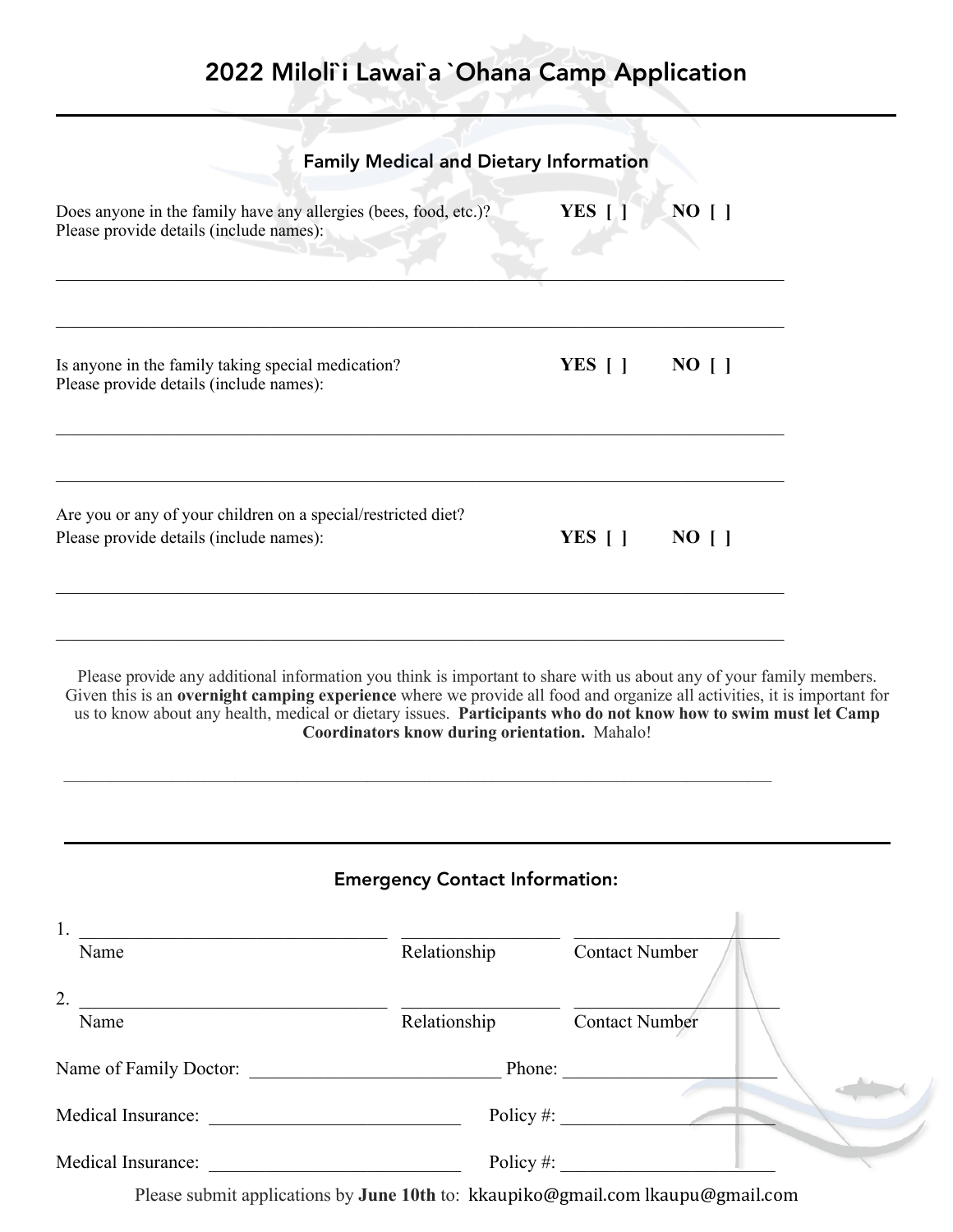# 2022 Miloli`i Lawai`a `Ohana Camp Application

|                                                                                                                                                                                                                                                                                                                                                                                                                  | <b>Family Medical and Dietary Information</b>        |                           |           |  |
|------------------------------------------------------------------------------------------------------------------------------------------------------------------------------------------------------------------------------------------------------------------------------------------------------------------------------------------------------------------------------------------------------------------|------------------------------------------------------|---------------------------|-----------|--|
| Does anyone in the family have any allergies (bees, food, etc.)?<br>Please provide details (include names):                                                                                                                                                                                                                                                                                                      |                                                      | YES [ ]                   | $NO$ [ ]  |  |
| Is anyone in the family taking special medication?<br>Please provide details (include names):                                                                                                                                                                                                                                                                                                                    |                                                      | YES $\lceil \cdot \rceil$ | $NO$ [ ]  |  |
| Are you or any of your children on a special/restricted diet?<br>Please provide details (include names):                                                                                                                                                                                                                                                                                                         |                                                      | YES $[$ $]$               | $NO \mid$ |  |
|                                                                                                                                                                                                                                                                                                                                                                                                                  |                                                      |                           |           |  |
| Please provide any additional information you think is important to share with us about any of your family members.<br>us to know about any health, medical or dietary issues. Participants who do not know how to swim must let Camp                                                                                                                                                                            | <b>Coordinators know during orientation.</b> Mahalo! |                           |           |  |
|                                                                                                                                                                                                                                                                                                                                                                                                                  | <b>Emergency Contact Information:</b>                |                           |           |  |
| Given this is an overnight camping experience where we provide all food and organize all activities, it is important for<br>Name                                                                                                                                                                                                                                                                                 | Relationship Contact Number                          |                           |           |  |
| Name                                                                                                                                                                                                                                                                                                                                                                                                             |                                                      |                           |           |  |
|                                                                                                                                                                                                                                                                                                                                                                                                                  | Relationship Contact Number                          |                           |           |  |
| 2. $\frac{1}{\sqrt{1-\frac{1}{2}}\sqrt{1-\frac{1}{2}}\sqrt{1-\frac{1}{2}}\sqrt{1-\frac{1}{2}}\sqrt{1-\frac{1}{2}}\sqrt{1-\frac{1}{2}}\sqrt{1-\frac{1}{2}}\sqrt{1-\frac{1}{2}}\sqrt{1-\frac{1}{2}}\sqrt{1-\frac{1}{2}}\sqrt{1-\frac{1}{2}}\sqrt{1-\frac{1}{2}}\sqrt{1-\frac{1}{2}}\sqrt{1-\frac{1}{2}}\sqrt{1-\frac{1}{2}}\sqrt{1-\frac{1}{2}}\sqrt{1-\frac{1}{2}}\sqrt{1-\frac{1}{2}}\sqrt{1-\frac{1}{2}}\sqrt{$ |                                                      | Policy #: $\qquad \qquad$ |           |  |

Please submit applications by June 10th to: [kkaupiko@gmail.com](mailto:kkaupiko@gmail.com) [lkaupu@gmail.com](mailto:lkaupu@gmail.com)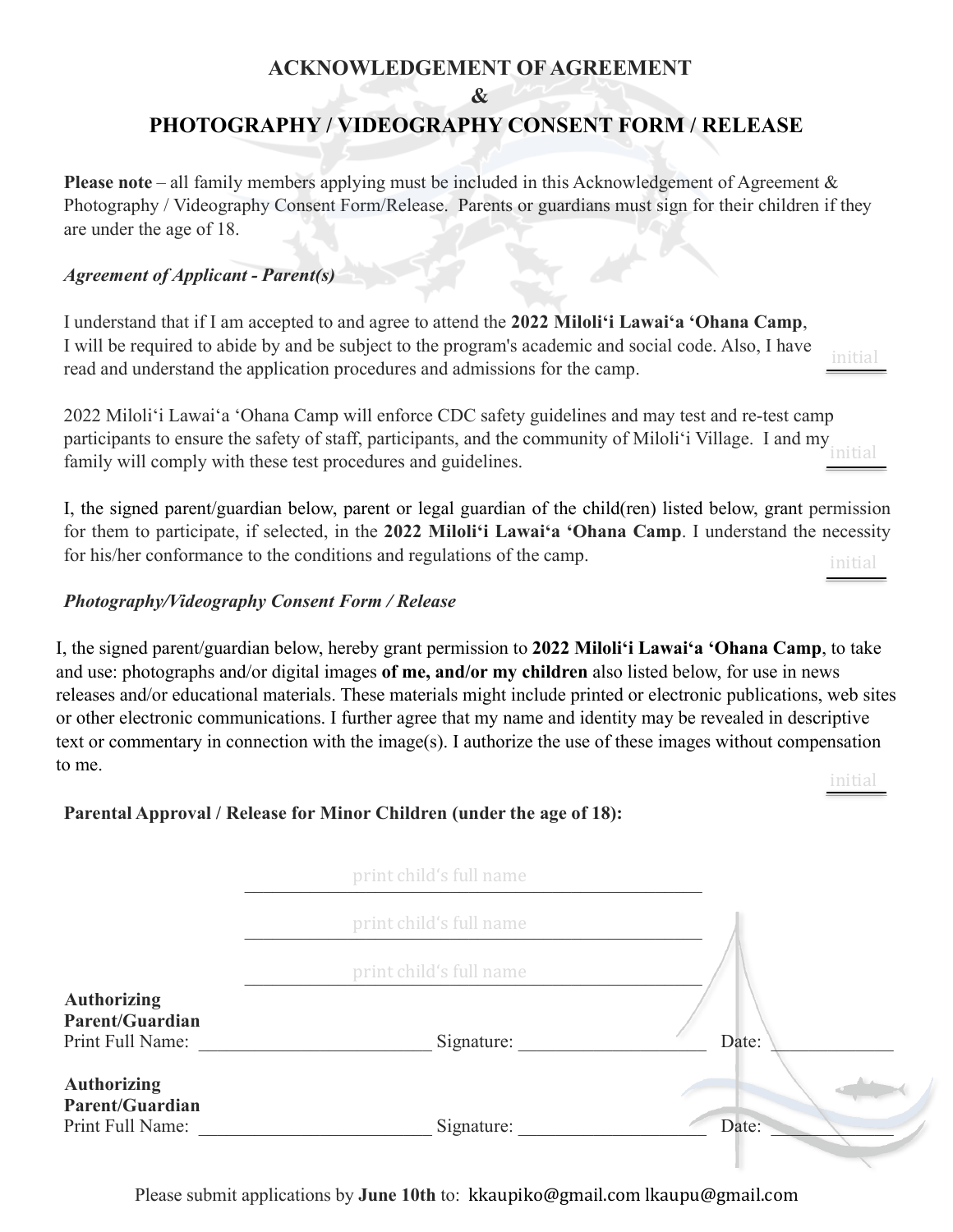## **ACKNOWLEDGEMENT OF AGREEMENT**

#### **&**

## **PHOTOGRAPHY / VIDEOGRAPHY CONSENT FORM / RELEASE**

**Please note** – all family members applying must be included in this Acknowledgement of Agreement & Photography / Videography Consent Form/Release. Parents or guardians must sign for their children if they are under the age of 18.

#### *Agreement of Applicant - Parent(s)*

I understand that if I am accepted to and agree to attend the **2022 Miloliʻi Lawaiʻa ʻOhana Camp**, I will be required to abide by and be subject to the program's academic and social code. Also, I have read and understand the application procedures and admissions for the camp. initial

2022 Miloliʻi Lawaiʻa ʻOhana Camp will enforce CDC safety guidelines and may test and re-test camp participants to ensure the safety of staff, participants, and the community of Miloliʻi Village. I and my family will comply with these test procedures and guidelines. initial

I, the signed parent/guardian below, parent or legal guardian of the child(ren) listed below, grant permission for them to participate, if selected, in the **2022 Miloliʻi Lawaiʻa ʻOhana Camp**. I understand the necessity for his/her conformance to the conditions and regulations of the camp.

initial

#### *Photography/Videography Consent Form / Release*

I, the signed parent/guardian below, hereby grant permission to **2022 Miloliʻi Lawaiʻa 'Ohana Camp**, to take and use: photographs and/or digital images **of me, and/or my children** also listed below, for use in news releases and/or educational materials. These materials might include printed or electronic publications, web sites or other electronic communications. I further agree that my name and identity may be revealed in descriptive text or commentary in connection with the image(s). I authorize the use of these images without compensation to me. initial

**Parental Approval / Release for Minor Children (under the age of 18):**

|                                                                  | print child's full name |       |
|------------------------------------------------------------------|-------------------------|-------|
|                                                                  | print child's full name |       |
|                                                                  | print child's full name |       |
| <b>Authorizing</b><br><b>Parent/Guardian</b><br>Print Full Name: | Signature:              | Date: |
| <b>Authorizing</b><br><b>Parent/Guardian</b><br>Print Full Name: | Signature:              | Date: |

Please submit applications by **June 10th** to: [kkaupiko@gmail.com](mailto:kkaupiko@gmail.com) [lkaupu@gmail.com](mailto:lkaupu@gmail.com)